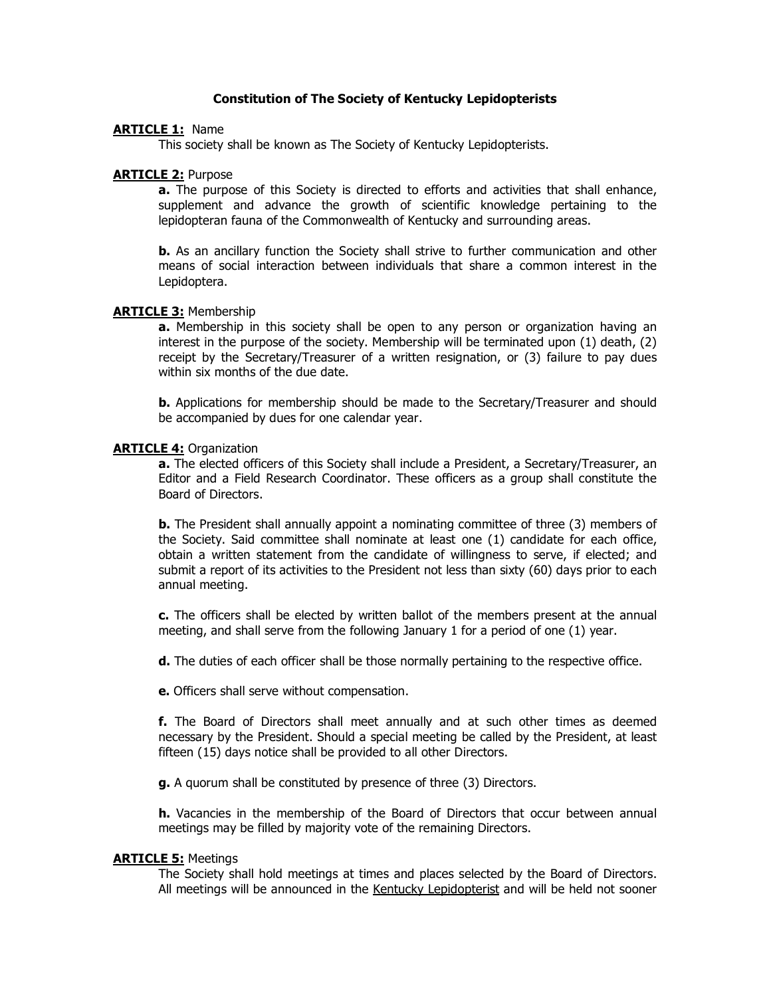# **Constitution of The Society of Kentucky Lepidopterists**

# **ARTICLE 1:** Name

This society shall be known as The Society of Kentucky Lepidopterists.

## **ARTICLE 2:** Purpose

**a.** The purpose of this Society is directed to efforts and activities that shall enhance, supplement and advance the growth of scientific knowledge pertaining to the lepidopteran fauna of the Commonwealth of Kentucky and surrounding areas.

**b.** As an ancillary function the Society shall strive to further communication and other means of social interaction between individuals that share a common interest in the Lepidoptera.

## **ARTICLE 3:** Membership

**a.** Membership in this society shall be open to any person or organization having an interest in the purpose of the society. Membership will be terminated upon (1) death, (2) receipt by the Secretary/Treasurer of a written resignation, or (3) failure to pay dues within six months of the due date.

**b.** Applications for membership should be made to the Secretary/Treasurer and should be accompanied by dues for one calendar year.

#### **ARTICLE 4: Organization**

**a.** The elected officers of this Society shall include a President, a Secretary/Treasurer, an Editor and a Field Research Coordinator. These officers as a group shall constitute the Board of Directors.

**b.** The President shall annually appoint a nominating committee of three (3) members of the Society. Said committee shall nominate at least one (1) candidate for each office, obtain a written statement from the candidate of willingness to serve, if elected; and submit a report of its activities to the President not less than sixty (60) days prior to each annual meeting.

**c.** The officers shall be elected by written ballot of the members present at the annual meeting, and shall serve from the following January 1 for a period of one (1) year.

**d.** The duties of each officer shall be those normally pertaining to the respective office.

**e.** Officers shall serve without compensation.

**f.** The Board of Directors shall meet annually and at such other times as deemed necessary by the President. Should a special meeting be called by the President, at least fifteen (15) days notice shall be provided to all other Directors.

**g.** A quorum shall be constituted by presence of three (3) Directors.

**h.** Vacancies in the membership of the Board of Directors that occur between annual meetings may be filled by majority vote of the remaining Directors.

#### **ARTICLE 5:** Meetings

The Society shall hold meetings at times and places selected by the Board of Directors. All meetings will be announced in the Kentucky Lepidopterist and will be held not sooner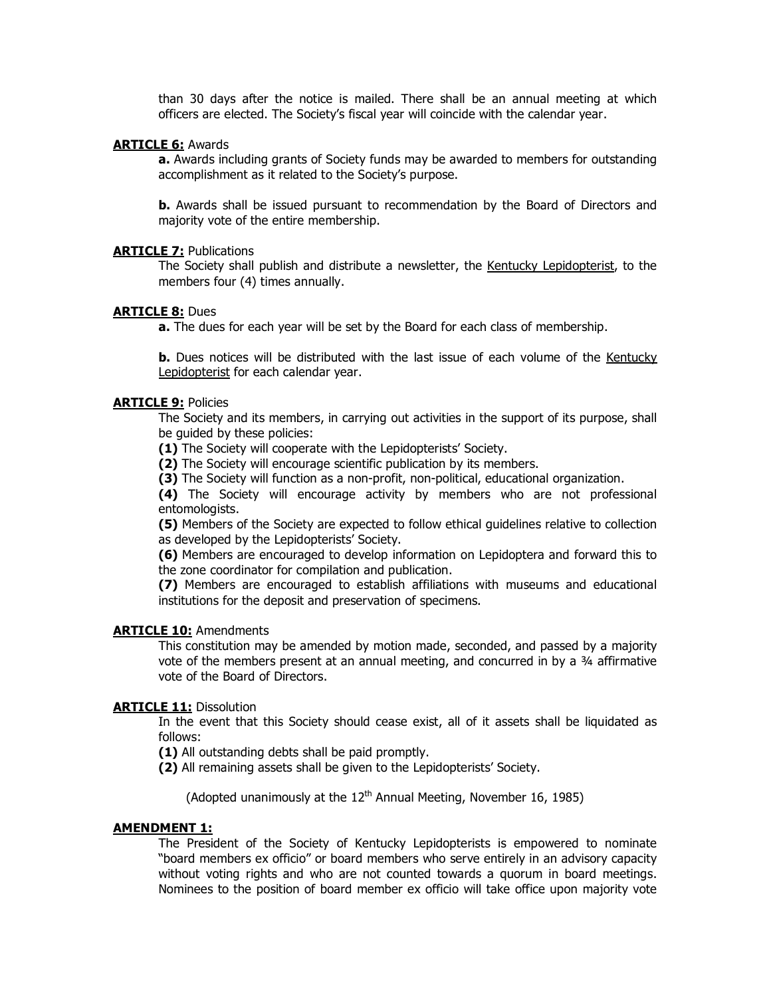than 30 days after the notice is mailed. There shall be an annual meeting at which officers are elected. The Society's fiscal year will coincide with the calendar year.

## **ARTICLE 6:** Awards

**a.** Awards including grants of Society funds may be awarded to members for outstanding accomplishment as it related to the Society's purpose.

**b.** Awards shall be issued pursuant to recommendation by the Board of Directors and majority vote of the entire membership.

#### **ARTICLE 7:** Publications

The Society shall publish and distribute a newsletter, the Kentucky Lepidopterist, to the members four (4) times annually.

#### **ARTICLE 8:** Dues

**a.** The dues for each year will be set by the Board for each class of membership.

**b.** Dues notices will be distributed with the last issue of each volume of the Kentucky Lepidopterist for each calendar year.

## **ARTICLE 9:** Policies

The Society and its members, in carrying out activities in the support of its purpose, shall be guided by these policies:

**(1)** The Society will cooperate with the Lepidopterists' Society.

**(2)** The Society will encourage scientific publication by its members.

**(3)** The Society will function as a non-profit, non-political, educational organization.

**(4)** The Society will encourage activity by members who are not professional entomologists.

**(5)** Members of the Society are expected to follow ethical guidelines relative to collection as developed by the Lepidopterists' Society.

**(6)** Members are encouraged to develop information on Lepidoptera and forward this to the zone coordinator for compilation and publication.

**(7)** Members are encouraged to establish affiliations with museums and educational institutions for the deposit and preservation of specimens.

## **ARTICLE 10:** Amendments

This constitution may be amended by motion made, seconded, and passed by a majority vote of the members present at an annual meeting, and concurred in by a ¾ affirmative vote of the Board of Directors.

## **ARTICLE 11: Dissolution**

In the event that this Society should cease exist, all of it assets shall be liquidated as follows:

**(1)** All outstanding debts shall be paid promptly.

**(2)** All remaining assets shall be given to the Lepidopterists' Society.

(Adopted unanimously at the  $12<sup>th</sup>$  Annual Meeting, November 16, 1985)

#### **AMENDMENT 1:**

The President of the Society of Kentucky Lepidopterists is empowered to nominate "board members ex officio" or board members who serve entirely in an advisory capacity without voting rights and who are not counted towards a quorum in board meetings. Nominees to the position of board member ex officio will take office upon majority vote